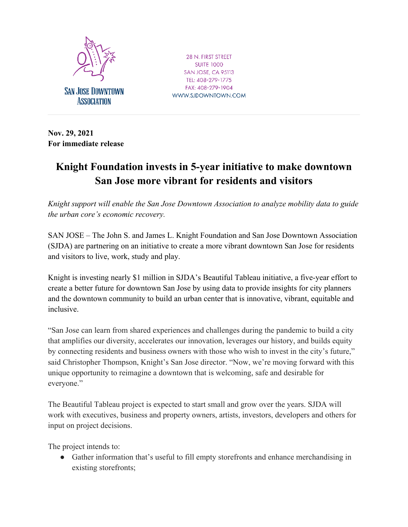

28 N. FIRST STREET **SUITE 1000 SAN JOSE, CA 95113** TEL: 408-279-1775 FAX: 408-279-1904 WWW.SJDOWNTOWN.COM

**Nov. 29, 2021 For immediate release**

## **Knight Foundation invests in 5-year initiative to make downtown San Jose more vibrant for residents and visitors**

*Knight support will enable the San Jose Downtown Association to analyze mobility data to guide the urban core's economic recovery.* 

SAN JOSE – The John S. and James L. Knight Foundation and San Jose Downtown Association (SJDA) are partnering on an initiative to create a more vibrant downtown San Jose for residents and visitors to live, work, study and play.

Knight is investing nearly \$1 million in SJDA's Beautiful Tableau initiative, a five-year effort to create a better future for downtown San Jose by using data to provide insights for city planners and the downtown community to build an urban center that is innovative, vibrant, equitable and inclusive.

"San Jose can learn from shared experiences and challenges during the pandemic to build a city that amplifies our diversity, accelerates our innovation, leverages our history, and builds equity by connecting residents and business owners with those who wish to invest in the city's future," said Christopher Thompson, Knight's San Jose director. "Now, we're moving forward with this unique opportunity to reimagine a downtown that is welcoming, safe and desirable for everyone."

The Beautiful Tableau project is expected to start small and grow over the years. SJDA will work with executives, business and property owners, artists, investors, developers and others for input on project decisions.

The project intends to:

● Gather information that's useful to fill empty storefronts and enhance merchandising in existing storefronts;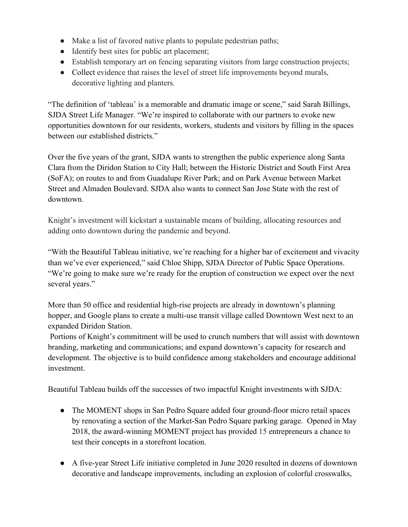- Make a list of favored native plants to populate pedestrian paths;
- Identify best sites for public art placement;
- Establish temporary art on fencing separating visitors from large construction projects;
- Collect evidence that raises the level of street life improvements beyond murals, decorative lighting and planters.

"The definition of 'tableau' is a memorable and dramatic image or scene," said Sarah Billings, SJDA Street Life Manager. "We're inspired to collaborate with our partners to evoke new opportunities downtown for our residents, workers, students and visitors by filling in the spaces between our established districts."

Over the five years of the grant, SJDA wants to strengthen the public experience along Santa Clara from the Diridon Station to City Hall; between the Historic District and South First Area (SoFA); on routes to and from Guadalupe River Park; and on Park Avenue between Market Street and Almaden Boulevard. SJDA also wants to connect San Jose State with the rest of downtown.

Knight's investment will kickstart a sustainable means of building, allocating resources and adding onto downtown during the pandemic and beyond.

"With the Beautiful Tableau initiative, we're reaching for a higher bar of excitement and vivacity than we've ever experienced," said Chloe Shipp, SJDA Director of Public Space Operations. "We're going to make sure we're ready for the eruption of construction we expect over the next several years."

More than 50 office and residential high-rise projects are already in downtown's planning hopper, and Google plans to create a multi-use transit village called Downtown West next to an expanded Diridon Station.

Portions of Knight's commitment will be used to crunch numbers that will assist with downtown branding, marketing and communications; and expand downtown's capacity for research and development. The objective is to build confidence among stakeholders and encourage additional investment.

Beautiful Tableau builds off the successes of two impactful Knight investments with SJDA:

- The MOMENT shops in San Pedro Square added four ground-floor micro retail spaces by renovating a section of the Market-San Pedro Square parking garage. Opened in May 2018, the award-winning MOMENT project has provided 15 entrepreneurs a chance to test their concepts in a storefront location.
- A five-year Street Life initiative completed in June 2020 resulted in dozens of downtown decorative and landscape improvements, including an explosion of colorful crosswalks,